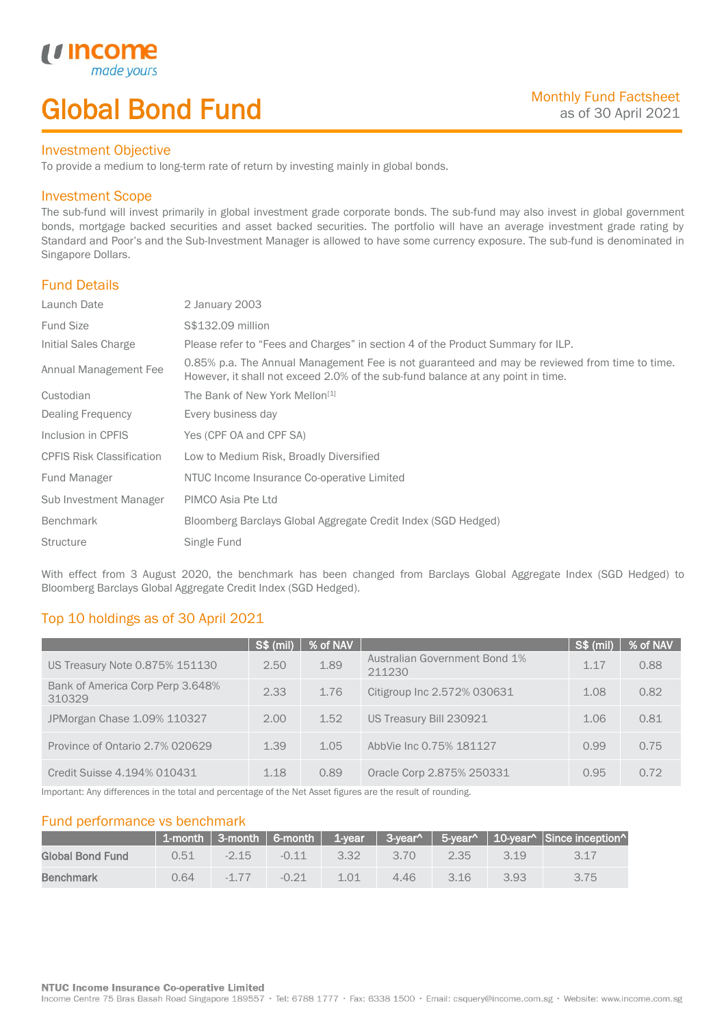# Global Bond Fund

#### Investment Objective

made<sub>1</sub>

*u* incom

I

To provide a medium to long-term rate of return by investing mainly in global bonds.

### Investment Scope

The sub-fund will invest primarily in global investment grade corporate bonds. The sub-fund may also invest in global government bonds, mortgage backed securities and asset backed securities. The portfolio will have an average investment grade rating by Standard and Poor's and the Sub-Investment Manager is allowed to have some currency exposure. The sub-fund is denominated in Singapore Dollars.

## Fund Details

| Launch Date                      | 2 January 2003                                                                                                                                                                   |
|----------------------------------|----------------------------------------------------------------------------------------------------------------------------------------------------------------------------------|
| <b>Fund Size</b>                 | S\$132.09 million                                                                                                                                                                |
| Initial Sales Charge             | Please refer to "Fees and Charges" in section 4 of the Product Summary for ILP.                                                                                                  |
| Annual Management Fee            | 0.85% p.a. The Annual Management Fee is not guaranteed and may be reviewed from time to time.<br>However, it shall not exceed 2.0% of the sub-fund balance at any point in time. |
| Custodian                        | The Bank of New York Mellon <sup>[1]</sup>                                                                                                                                       |
| Dealing Frequency                | Every business day                                                                                                                                                               |
| Inclusion in CPFIS               | Yes (CPF OA and CPF SA)                                                                                                                                                          |
| <b>CPFIS Risk Classification</b> | Low to Medium Risk, Broadly Diversified                                                                                                                                          |
| Fund Manager                     | NTUC Income Insurance Co-operative Limited                                                                                                                                       |
| Sub Investment Manager           | PIMCO Asia Pte Ltd                                                                                                                                                               |
| <b>Benchmark</b>                 | Bloomberg Barclays Global Aggregate Credit Index (SGD Hedged)                                                                                                                    |
| <b>Structure</b>                 | Single Fund                                                                                                                                                                      |

With effect from 3 August 2020, the benchmark has been changed from Barclays Global Aggregate Index (SGD Hedged) to Bloomberg Barclays Global Aggregate Credit Index (SGD Hedged).

# Top 10 holdings as of 30 April 2021

|                                            | S\$ (mil) | % of NAV |                                         | S\$ (mil) | % of NAV |
|--------------------------------------------|-----------|----------|-----------------------------------------|-----------|----------|
| US Treasury Note 0.875% 151130             | 2.50      | 1.89     | Australian Government Bond 1%<br>211230 | 1 1 7     | 0.88     |
| Bank of America Corp Perp 3.648%<br>310329 | 2.33      | 1.76     | Citigroup Inc 2.572% 030631             | 1.08      | 0.82     |
| JPMorgan Chase 1.09% 110327                | 2.00      | 1.52     | US Treasury Bill 230921                 | 1.06      | 0.81     |
| Province of Ontario 2.7% 020629            | 1.39      | 1.05     | AbbVie Inc 0.75% 181127                 | 0.99      | 0.75     |
| Credit Suisse 4.194% 010431                | 1.18      | 0.89     | Oracle Corp 2.875% 250331               | 0.95      | 0.72     |

Important: Any differences in the total and percentage of the Net Asset figures are the result of rounding.

## Fund performance vs benchmark

|                  |      |          |         |      |      |      |      | 1-month   3-month   6-month   1-year   3-year^   5-year^   10-year^   Since inception^ |
|------------------|------|----------|---------|------|------|------|------|----------------------------------------------------------------------------------------|
| Global Bond Fund | 0.51 | $-2.15$  | $-0.11$ | 3.32 | 3.70 | 2.35 | 3.19 | 3 17                                                                                   |
| Benchmark        | 0.64 | $-1\,77$ | $-0.21$ | 1 01 | 4.46 | 316  | 3.93 | 3.75                                                                                   |